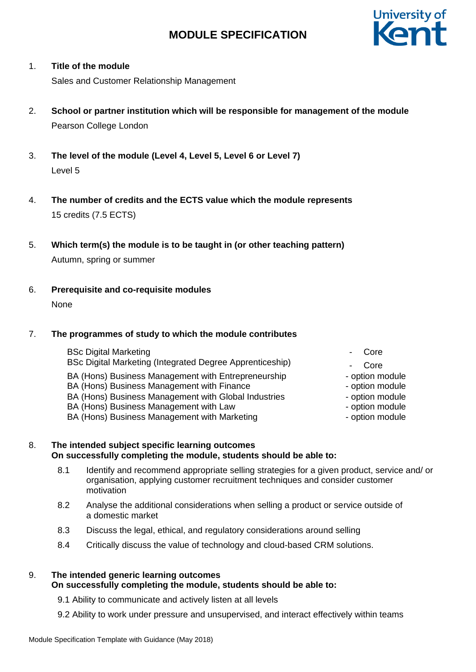

### 1. **Title of the module**

Sales and Customer Relationship Management

- 2. **School or partner institution which will be responsible for management of the module** Pearson College London
- 3. **The level of the module (Level 4, Level 5, Level 6 or Level 7)** Level 5
- 4. **The number of credits and the ECTS value which the module represents**  15 credits (7.5 ECTS)
- 5. **Which term(s) the module is to be taught in (or other teaching pattern)** Autumn, spring or summer
- 6. **Prerequisite and co-requisite modules** None

## 7. **The programmes of study to which the module contributes**

- BSc Digital Marketing BSc Digital Marketing (Integrated Degree Apprenticeship) BA (Hons) Business Management with Entrepreneurship BA (Hons) Business Management with Finance BA (Hons) Business Management with Global Industries - The option module BA (Hons) Business Management with Law end of the second position module BA (Hons) Business Management with Marketing example and the option module
	- **Core**
	- - Core
	-
	- option module<br>- option module
	-
	-
	-

### 8. **The intended subject specific learning outcomes On successfully completing the module, students should be able to:**

- 8.1 Identify and recommend appropriate selling strategies for a given product, service and/ or organisation, applying customer recruitment techniques and consider customer motivation
- 8.2 Analyse the additional considerations when selling a product or service outside of a domestic market
- 8.3 Discuss the legal, ethical, and regulatory considerations around selling
- 8.4 Critically discuss the value of technology and cloud-based CRM solutions.

#### 9. **The intended generic learning outcomes On successfully completing the module, students should be able to:**

- 9.1 Ability to communicate and actively listen at all levels
- 9.2 Ability to work under pressure and unsupervised, and interact effectively within teams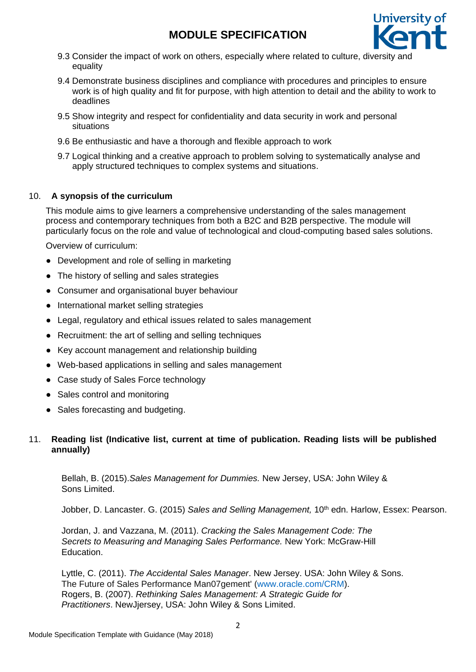

- 9.3 Consider the impact of work on others, especially where related to culture, diversity and equality
- 9.4 Demonstrate business disciplines and compliance with procedures and principles to ensure work is of high quality and fit for purpose, with high attention to detail and the ability to work to deadlines
- 9.5 Show integrity and respect for confidentiality and data security in work and personal situations
- 9.6 Be enthusiastic and have a thorough and flexible approach to work
- 9.7 Logical thinking and a creative approach to problem solving to systematically analyse and apply structured techniques to complex systems and situations.

## 10. **A synopsis of the curriculum**

This module aims to give learners a comprehensive understanding of the sales management process and contemporary techniques from both a B2C and B2B perspective. The module will particularly focus on the role and value of technological and cloud-computing based sales solutions.

Overview of curriculum:

- Development and role of selling in marketing
- The history of selling and sales strategies
- Consumer and organisational buyer behaviour
- International market selling strategies
- Legal, regulatory and ethical issues related to sales management
- Recruitment: the art of selling and selling techniques
- Key account management and relationship building
- Web-based applications in selling and sales management
- Case study of Sales Force technology
- Sales control and monitoring
- Sales forecasting and budgeting.

## 11. **Reading list (Indicative list, current at time of publication. Reading lists will be published annually)**

Bellah, B. (2015).*Sales Management for Dummies.* New Jersey, USA: John Wiley & Sons Limited.

Jobber, D. Lancaster. G. (2015) Sales and Selling Management, 10<sup>th</sup> edn. Harlow, Essex: Pearson.

Jordan, J. and Vazzana, M. (2011). *Cracking the Sales Management Code: The Secrets to Measuring and Managing Sales Performance.* New York: McGraw-Hill Education.

Lyttle, C. (2011). *The Accidental Sales Manager*. New Jersey. USA: John Wiley & Sons. The Future of Sales Performance Man07gement' [\(www.oracle.com/CRM\)](http://rd-eu.a9.com/srv/redirect/?info=ANLeLUhHO6q9vIUeM0GLDX2yAxHcUWUrrmBubkZT25VAj5vlHuX-kbPR.nq16nBdWX-FoMi8DuERbT-6oNHSIHGWjnNKww7xrBYB84JzR.roZTebeVKwi4YgcDiHwdTrcKEVGL.Kxfc1NIOoi3nJwezSgs2IDherzmwn.dAoWxNMGAKWDekzG071WH2QjDck8ax7f4gqeCvgbxWuqQnmp6giBEkjx0BEwYnczipuo07HQPK22bia6y5BuMTyDl7xbXMFGCdNStjRtHHObitFXVmbm-Durl793-PlJvzx4wivFTTve-aZ9c5lodA3KtYb0MrQF2BBtkuD1yRQEMPvzuZflTsbD8Zz5X2RGp1p1WTtytJGvAyjd7B7Y0-wZelwMl5wMYKfyt-ARlD3aqf12qifv1xJQ8nkJwC.ccxiN0BTGRZeT4RqTH-tHVbEuTYIj7XeiFCVdWu8piwSkDUgLoedesai9i4-kv2hfKwHshKwr5FRrqhes-OFQAnKSCgm2DGMG5WAfM6xQFb3kRp6D2TT6ynPHQ5TospQSSh5JUGNz5xoCi69dTJZrTvjZbxu3rXmISJUza5Bkb4PjKTVjMv7nV0jDtLRY55CAohK17s150b0EkwbMOoo9VXAts9LDMQIp8eW7zfCf1ZA117UJe9kTwI-Y77F9p0oKwYOJEZjgB7IWvbPh4V0mgoTji9sfMWEu8fMetGweM6VbM31q0bN2hZBGrfXHds3mUhyT0KPLpDVOUvwuSwHtWgSp7m0B.4hoac85vPQL0VWaFfETRh0Ts9OUUR55HGieAdfPJml5UE72GYI0VrfenX0Nu1uQNVpYGnaqHA0ti6iPs990cTzBYouQXg9qw-dKPkwV7OJTqJLUwoAJa.Hb29Iwu4LmZ.D53Asc4.LbBIZioJ2G9L14SGAV2JsigcJ0KEXy4-haZrOE4K5yLSqd3jfBShGpuorloeoXUFoiyhqc30R3Qbm9.v4DNVJHG3xMG5X7Xq7rKUu65sVldbiFdCxk4E9WR5CyQqkcWAQ&awt=1&s). Rogers, B. (2007). *Rethinking Sales Management: A Strategic Guide for Practitioners*. NewJjersey, USA: John Wiley & Sons Limited.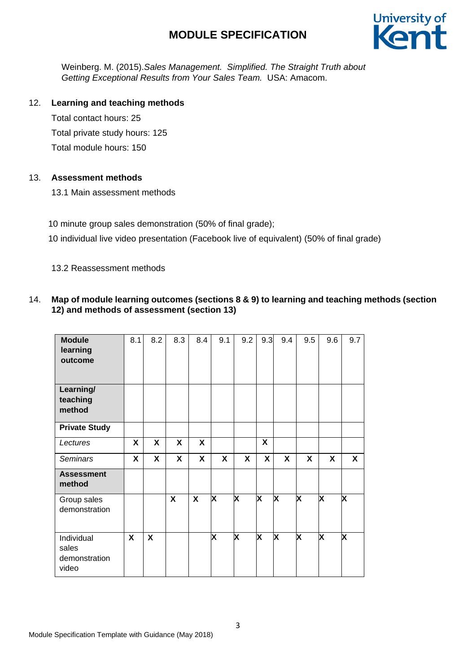

Weinberg. M. (2015).*Sales Management. Simplified. The Straight Truth about Getting Exceptional Results from Your Sales Team.* USA: Amacom.

## 12. **Learning and teaching methods**

Total contact hours: 25 Total private study hours: 125 Total module hours: 150

## 13. **Assessment methods**

13.1 Main assessment methods

10 minute group sales demonstration (50% of final grade);

10 individual live video presentation (Facebook live of equivalent) (50% of final grade)

13.2 Reassessment methods

## 14. **Map of module learning outcomes (sections 8 & 9) to learning and teaching methods (section 12) and methods of assessment (section 13)**

| <b>Module</b><br>learning<br>outcome          | 8.1 | 8.2                       | 8.3 | 8.4          | 9.1 | 9.2                     | 9.3                     | 9.4                     | 9.5                     | 9.6                     | 9.7                     |
|-----------------------------------------------|-----|---------------------------|-----|--------------|-----|-------------------------|-------------------------|-------------------------|-------------------------|-------------------------|-------------------------|
| Learning/<br>teaching<br>method               |     |                           |     |              |     |                         |                         |                         |                         |                         |                         |
| <b>Private Study</b>                          |     |                           |     |              |     |                         |                         |                         |                         |                         |                         |
| Lectures                                      | X   | X                         | X   | $\mathsf{X}$ |     |                         | X                       |                         |                         |                         |                         |
| <b>Seminars</b>                               | X   | X                         | X   | X            | X   | X                       | X                       | X                       | X                       | X                       | X                       |
| <b>Assessment</b><br>method                   |     |                           |     |              |     |                         |                         |                         |                         |                         |                         |
| Group sales<br>demonstration                  |     |                           | X   | X            | X   | x                       | X                       | X                       | X                       | X                       | X                       |
| Individual<br>sales<br>demonstration<br>video | X   | $\boldsymbol{\mathsf{X}}$ |     |              | X   | $\overline{\mathbf{x}}$ | $\overline{\mathsf{x}}$ | $\overline{\mathsf{x}}$ | $\overline{\mathsf{x}}$ | $\overline{\textsf{x}}$ | $\overline{\mathsf{x}}$ |